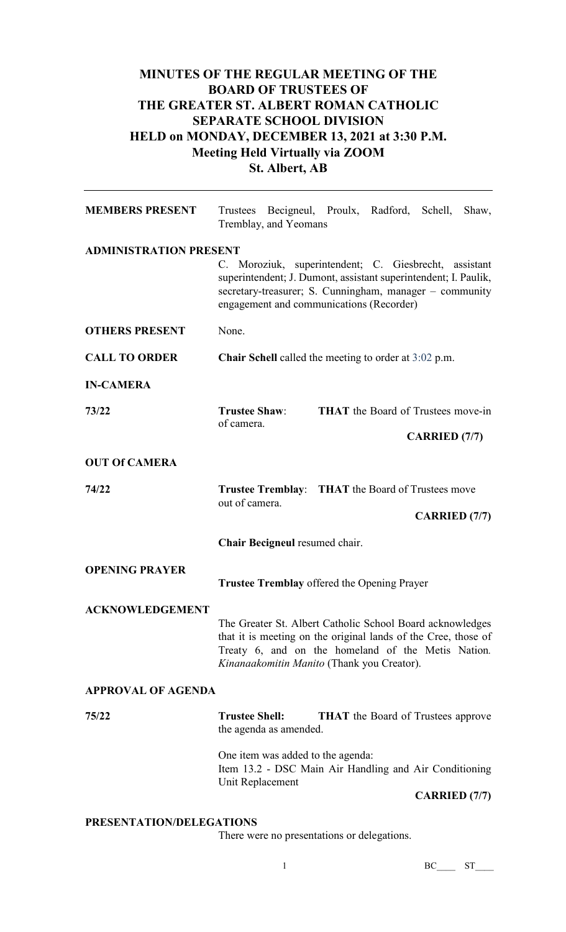## **MINUTES OF THE REGULAR MEETING OF THE BOARD OF TRUSTEES OF THE GREATER ST. ALBERT ROMAN CATHOLIC SEPARATE SCHOOL DIVISION HELD on MONDAY, DECEMBER 13, 2021 at 3:30 P.M. Meeting Held Virtually via ZOOM St. Albert, AB**

| <b>MEMBERS PRESENT</b>        | Trustees Becigneul, Proulx, Radford, Schell, Shaw,<br>Tremblay, and Yeomans                                                                                                                                                     |  |  |  |
|-------------------------------|---------------------------------------------------------------------------------------------------------------------------------------------------------------------------------------------------------------------------------|--|--|--|
| <b>ADMINISTRATION PRESENT</b> |                                                                                                                                                                                                                                 |  |  |  |
|                               | C. Moroziuk, superintendent; C. Giesbrecht, assistant<br>superintendent; J. Dumont, assistant superintendent; I. Paulik,<br>secretary-treasurer; S. Cunningham, manager - community<br>engagement and communications (Recorder) |  |  |  |
| <b>OTHERS PRESENT</b>         | None.                                                                                                                                                                                                                           |  |  |  |
| <b>CALL TO ORDER</b>          | <b>Chair Schell</b> called the meeting to order at $3:02$ p.m.                                                                                                                                                                  |  |  |  |
| <b>IN-CAMERA</b>              |                                                                                                                                                                                                                                 |  |  |  |
| 73/22                         | <b>Trustee Shaw:</b><br><b>THAT</b> the Board of Trustees move-in<br>of camera.                                                                                                                                                 |  |  |  |
|                               | <b>CARRIED</b> (7/7)                                                                                                                                                                                                            |  |  |  |
| <b>OUT Of CAMERA</b>          |                                                                                                                                                                                                                                 |  |  |  |
| 74/22                         | <b>Trustee Tremblay:</b> THAT the Board of Trustees move<br>out of camera.                                                                                                                                                      |  |  |  |
|                               |                                                                                                                                                                                                                                 |  |  |  |
|                               | <b>CARRIED</b> (7/7)                                                                                                                                                                                                            |  |  |  |
|                               | Chair Becigneul resumed chair.                                                                                                                                                                                                  |  |  |  |
| <b>OPENING PRAYER</b>         | <b>Trustee Tremblay offered the Opening Prayer</b>                                                                                                                                                                              |  |  |  |
| <b>ACKNOWLEDGEMENT</b>        | The Greater St. Albert Catholic School Board acknowledges<br>that it is meeting on the original lands of the Cree, those of<br>Treaty 6, and on the homeland of the Metis Nation.<br>Kinanaakomitin Manito (Thank you Creator). |  |  |  |
| <b>APPROVAL OF AGENDA</b>     |                                                                                                                                                                                                                                 |  |  |  |
| 75/22                         | <b>Trustee Shell:</b><br><b>THAT</b> the Board of Trustees approve<br>the agenda as amended.                                                                                                                                    |  |  |  |
|                               | One item was added to the agenda:<br>Item 13.2 - DSC Main Air Handling and Air Conditioning<br>Unit Replacement                                                                                                                 |  |  |  |

## **PRESENTATION/DELEGATIONS**

There were no presentations or delegations.

1 BC\_\_\_ ST\_\_\_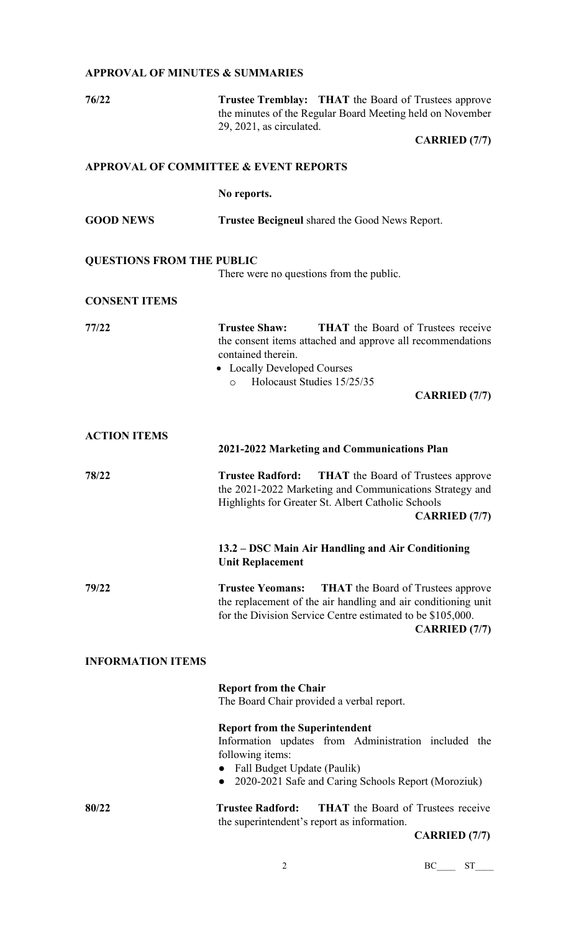## **APPROVAL OF MINUTES & SUMMARIES**

| 76/22                            | <b>Trustee Tremblay:</b> THAT the Board of Trustees approve<br>the minutes of the Regular Board Meeting held on November<br>29, 2021, as circulated.                                                                                                  |  |  |
|----------------------------------|-------------------------------------------------------------------------------------------------------------------------------------------------------------------------------------------------------------------------------------------------------|--|--|
|                                  | <b>CARRIED</b> (7/7)                                                                                                                                                                                                                                  |  |  |
|                                  | <b>APPROVAL OF COMMITTEE &amp; EVENT REPORTS</b>                                                                                                                                                                                                      |  |  |
|                                  | No reports.                                                                                                                                                                                                                                           |  |  |
| <b>GOOD NEWS</b>                 | <b>Trustee Becigneul shared the Good News Report.</b>                                                                                                                                                                                                 |  |  |
| <b>QUESTIONS FROM THE PUBLIC</b> | There were no questions from the public.                                                                                                                                                                                                              |  |  |
| <b>CONSENT ITEMS</b>             |                                                                                                                                                                                                                                                       |  |  |
| 77/22                            | <b>Trustee Shaw:</b><br><b>THAT</b> the Board of Trustees receive<br>the consent items attached and approve all recommendations<br>contained therein.<br>• Locally Developed Courses<br>Holocaust Studies 15/25/35<br>$\circ$<br><b>CARRIED</b> (7/7) |  |  |
|                                  |                                                                                                                                                                                                                                                       |  |  |
| <b>ACTION ITEMS</b>              | 2021-2022 Marketing and Communications Plan                                                                                                                                                                                                           |  |  |
| 78/22                            | <b>THAT</b> the Board of Trustees approve<br><b>Trustee Radford:</b><br>the 2021-2022 Marketing and Communications Strategy and<br>Highlights for Greater St. Albert Catholic Schools<br><b>CARRIED</b> (7/7)                                         |  |  |
|                                  | 13.2 – DSC Main Air Handling and Air Conditioning<br><b>Unit Replacement</b>                                                                                                                                                                          |  |  |
| 79/22                            | <b>THAT</b> the Board of Trustees approve<br><b>Trustee Yeomans:</b><br>the replacement of the air handling and air conditioning unit<br>for the Division Service Centre estimated to be \$105,000.<br><b>CARRIED</b> (7/7)                           |  |  |
| <b>INFORMATION ITEMS</b>         |                                                                                                                                                                                                                                                       |  |  |
|                                  | <b>Report from the Chair</b><br>The Board Chair provided a verbal report.                                                                                                                                                                             |  |  |
|                                  | <b>Report from the Superintendent</b><br>Information updates from Administration included the<br>following items:<br>• Fall Budget Update (Paulik)<br>2020-2021 Safe and Caring Schools Report (Moroziuk)                                             |  |  |
| 80/22                            | <b>THAT</b> the Board of Trustees receive<br><b>Trustee Radford:</b><br>the superintendent's report as information.                                                                                                                                   |  |  |

**CARRIED (7/7)**

2 BC\_\_\_\_ ST\_\_\_